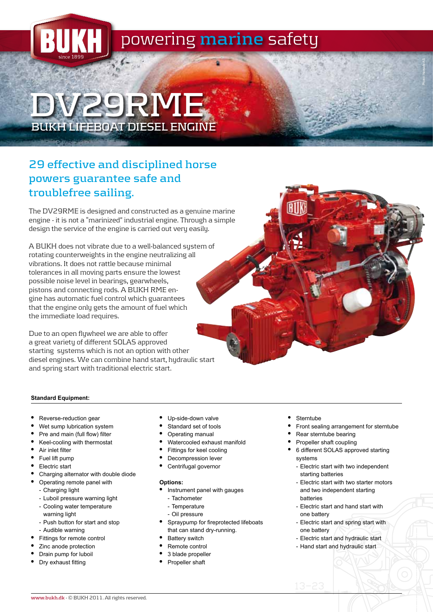

# **DV29RME BUKH LIFEBOAT DIESEL ENGINE**

## **29 effective and disciplined horse powers guarantee safe and troublefree sailing.**

The DV29RME is designed and constructed as a genuine marine engine - it is not a "marinized" industrial engine. Through a simple design the service of the engine is carried out very easily.

A BUKH does not vibrate due to a well-balanced system of rotating counterweights in the engine neutralizing all vibrations. It does not rattle because minimal tolerances in all moving parts ensure the lowest possible noise level in bearings, gearwheels, pistons and connecting rods. A BUKH RME engine has automatic fuel control which guarantees that the engine only gets the amount of fuel which the immediate load requires.

Due to an open flywheel we are able to offer a great variety of different SOLAS approved starting systems which is not an option with other diesel engines. We can combine hand start, hydraulic start and spring start with traditional electric start.

### **Standard Equipment:**

- Reverse-reduction gear
- Wet sump lubrication system
- Pre and main (full flow) filter
- • Keel-cooling with thermostat
- • Air inlet filter
- Fuel lift pump
- Electric start
- Charging alternator with double diode
- • Operating remote panel with
	- Charging light
	- Luboil pressure warning light
	- Cooling water temperature warning light
	- Push button for start and stop
	- Audible warning
- Fittings for remote control
- Zinc anode protection
- Drain pump for luboil
- Dry exhaust fitting
- Up-side-down valve
- Standard set of tools
- Operating manual
- Watercooled exhaust manifold
- Fittings for keel cooling
- Decompression lever
- Centrifugal governor

#### **Options:**

- Instrument panel with gauges
- Tachometer
- Temperature
- Oil pressure
- Spraypump for fireprotected lifeboats that can stand dry-running.
- **Battery switch**
- Remote control
- 3 blade propeller
- Propeller shaft
- • Sterntube
- Front sealing arrangement for sterntube

Photo: Norsafe AS

- Rear sterntube bearing
- Propeller shaft coupling
- • 6 different SOLAS approved starting systems
	- Electric start with two independent starting batteries
	- Electric start with two starter motors and two independent starting batteries
	- Electric start and hand start with one battery
	- Electric start and spring start with one battery
	- Electric start and hydraulic start
	- Hand start and hydraulic start